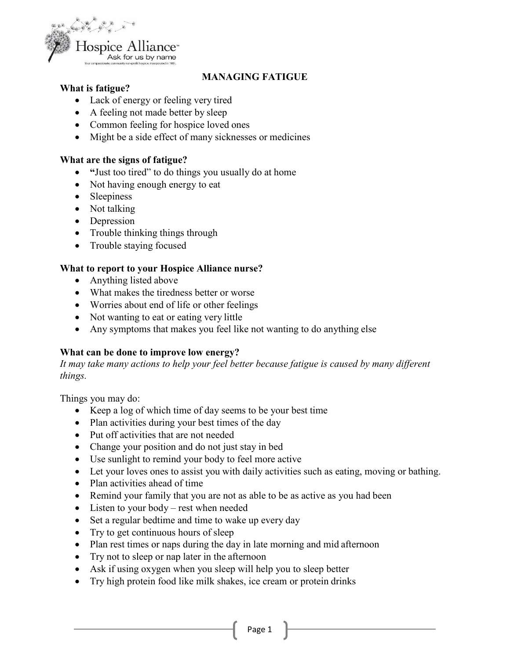

## **MANAGING FATIGUE**

### **What is fatigue?**

- Lack of energy or feeling very tired
- A feeling not made better by sleep
- Common feeling for hospice loved ones
- Might be a side effect of many sicknesses or medicines

#### **What are the signs of fatigue?**

- **"**Just too tired" to do things you usually do at home
- Not having enough energy to eat
- Sleepiness
- Not talking
- Depression
- Trouble thinking things through
- Trouble staying focused

#### **What to report to your Hospice Alliance nurse?**

- Anything listed above
- What makes the tiredness better or worse
- Worries about end of life or other feelings
- Not wanting to eat or eating very little
- Any symptoms that makes you feel like not wanting to do anything else

#### **What can be done to improve low energy?**

*It may take many actions to help your feel better because fatigue is caused by many different things.* 

Things you may do:

- Keep a log of which time of day seems to be your best time
- Plan activities during your best times of the day
- Put off activities that are not needed
- Change your position and do not just stay in bed
- Use sunlight to remind your body to feel more active
- Let your loves ones to assist you with daily activities such as eating, moving or bathing.
- Plan activities ahead of time
- Remind your family that you are not as able to be as active as you had been
- Listen to your body rest when needed
- Set a regular bedtime and time to wake up every day
- Try to get continuous hours of sleep
- Plan rest times or naps during the day in late morning and mid afternoon
- Try not to sleep or nap later in the afternoon
- Ask if using oxygen when you sleep will help you to sleep better
- Try high protein food like milk shakes, ice cream or protein drinks